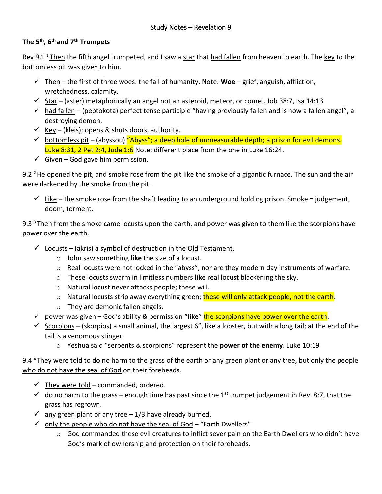## **The 5 th , 6 th and 7th Trumpets**

Rev 9.1 <sup>1</sup> Then the fifth angel trumpeted, and I saw a star that had fallen from heaven to earth. The key to the bottomless pit was given to him.

- ✓ Then the first of three woes: the fall of humanity. Note: **Woe** grief, anguish, affliction, wretchedness, calamity.
- $\checkmark$  Star (aster) metaphorically an angel not an asteroid, meteor, or comet. Job 38:7, Isa 14:13
- $\checkmark$  had fallen (peptokota) perfect tense participle "having previously fallen and is now a fallen angel", a destroying demon.
- $\checkmark$  Key (kleis); opens & shuts doors, authority.
- $\checkmark$  bottomless pit (abyssou) "Abyss"; a deep hole of unmeasurable depth; a prison for evil demons. Luke 8:31, 2 Pet 2:4, Jude 1:6 Note: different place from the one in Luke 16:24.
- $\checkmark$  Given God gave him permission.

9.2 <sup>2</sup> He opened the pit, and smoke rose from the pit like the smoke of a gigantic furnace. The sun and the air were darkened by the smoke from the pit.

 $\checkmark$  Like – the smoke rose from the shaft leading to an underground holding prison. Smoke = judgement, doom, torment.

9.3  $3$  Then from the smoke came locusts upon the earth, and power was given to them like the scorpions have power over the earth.

- $\checkmark$  Locusts (akris) a symbol of destruction in the Old Testament.
	- o John saw something **like** the size of a locust.
	- o Real locusts were not locked in the "abyss", nor are they modern day instruments of warfare.
	- o These locusts swarm in limitless numbers **like** real locust blackening the sky.
	- o Natural locust never attacks people; these will.
	- o Natural locusts strip away everything green; these will only attack people, not the earth.
	- o They are demonic fallen angels.
- ✓ power was given God's ability & permission "**like**" the scorpions have power over the earth.
- $\checkmark$  Scorpions (skorpios) a small animal, the largest 6", like a lobster, but with a long tail; at the end of the tail is a venomous stinger.
	- o Yeshua said "serpents & scorpions" represent the **power of the enemy**. Luke 10:19

9.4 <sup>4</sup>They were told to do no harm to the grass of the earth or any green plant or any tree, but only the people who do not have the seal of God on their foreheads.

- $\checkmark$  They were told commanded, ordered.
- $\checkmark$  do no harm to the grass enough time has past since the 1<sup>st</sup> trumpet judgement in Rev. 8:7, that the grass has regrown.
- $\checkmark$  any green plant or any tree  $-1/3$  have already burned.
- $\checkmark$  only the people who do not have the seal of God "Earth Dwellers"
	- $\circ$  God commanded these evil creatures to inflict sever pain on the Earth Dwellers who didn't have God's mark of ownership and protection on their foreheads.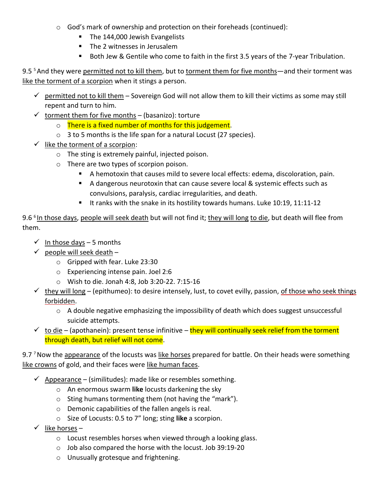- o God's mark of ownership and protection on their foreheads (continued):
	- The 144,000 Jewish Evangelists
	- The 2 witnesses in Jerusalem
	- Both Jew & Gentile who come to faith in the first 3.5 years of the 7-year Tribulation.

9.5<sup>5</sup> And they were permitted not to kill them, but to torment them for five months—and their torment was like the torment of a scorpion when it stings a person.

- $\checkmark$  permitted not to kill them Sovereign God will not allow them to kill their victims as some may still repent and turn to him.
- $\checkmark$  torment them for five months (basanizo): torture
	- $\circ$  There is a fixed number of months for this judgement.
	- o 3 to 5 months is the life span for a natural Locust (27 species).
- $\checkmark$  like the torment of a scorpion:
	- o The sting is extremely painful, injected poison.
	- o There are two types of scorpion poison.
		- A hemotoxin that causes mild to severe local effects: edema, discoloration, pain.
		- A dangerous neurotoxin that can cause severe local & systemic effects such as convulsions, paralysis, cardiac irregularities, and death.
		- It ranks with the snake in its hostility towards humans. Luke 10:19, 11:11-12

9.6<sup>6</sup> In those days, people will seek death but will not find it; they will long to die, but death will flee from them.

- $\checkmark$  In those days 5 months
- $\checkmark$  people will seek death
	- o Gripped with fear. Luke 23:30
	- o Experiencing intense pain. Joel 2:6
	- o Wish to die. Jonah 4:8, Job 3:20-22. 7:15-16
- $\checkmark$  they will long (epithumeo): to desire intensely, lust, to covet evilly, passion, of those who seek things forbidden.
	- o A double negative emphasizing the impossibility of death which does suggest unsuccessful suicide attempts.
- $\checkmark$  to die (apothanein): present tense infinitive they will continually seek relief from the torment through death, but relief will not come.

9.7<sup>7</sup> Now the appearance of the locusts was like horses prepared for battle. On their heads were something like crowns of gold, and their faces were like human faces.

- $\checkmark$  Appearance (similitudes): made like or resembles something.
	- o An enormous swarm **like** locusts darkening the sky
	- o Sting humans tormenting them (not having the "mark").
	- o Demonic capabilities of the fallen angels is real.
	- o Size of Locusts: 0.5 to 7" long; sting **like** a scorpion.
- $\checkmark$  like horses
	- o Locust resembles horses when viewed through a looking glass.
	- o Job also compared the horse with the locust. Job 39:19-20
	- o Unusually grotesque and frightening.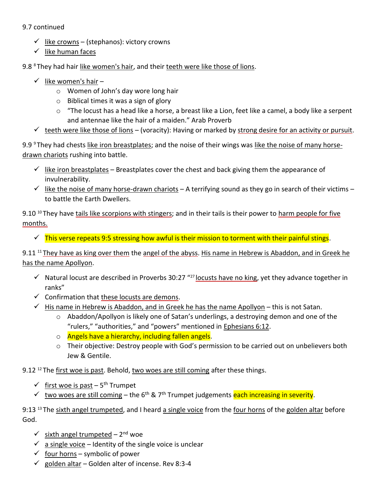## 9.7 continued

- $\checkmark$  like crowns (stephanos): victory crowns
- $\checkmark$  like human faces

9.8 <sup>8</sup>They had hair like women's hair, and their teeth were like those of lions.

- $\checkmark$  like women's hair
	- o Women of John's day wore long hair
	- o Biblical times it was a sign of glory
	- $\circ$  "The locust has a head like a horse, a breast like a Lion, feet like a camel, a body like a serpent and antennae like the hair of a maiden." Arab Proverb
- $\checkmark$  teeth were like those of lions (voracity): Having or marked by strong desire for an activity or pursuit.

9.9  $9$  They had chests like iron breastplates; and the noise of their wings was like the noise of many horsedrawn chariots rushing into battle.

- $\checkmark$  like iron breastplates Breastplates cover the chest and back giving them the appearance of invulnerability.
- $\checkmark$  like the noise of many horse-drawn chariots A terrifying sound as they go in search of their victims to battle the Earth Dwellers.

9.10<sup>10</sup> They have tails like scorpions with stingers; and in their tails is their power to harm people for five months.

 $\checkmark$  This verse repeats 9:5 stressing how awful is their mission to torment with their painful stings.

9.11 <sup>11</sup> They have as king over them the angel of the abyss. His name in Hebrew is Abaddon, and in Greek he has the name Apollyon.

- $\checkmark$  Natural locust are described in Proverbs 30:27 "<sup>27</sup> locusts have no king, yet they advance together in ranks"
- $\checkmark$  Confirmation that these locusts are demons.
- $\checkmark$  His name in Hebrew is Abaddon, and in Greek he has the name Apollyon this is not Satan.
	- o Abaddon/Apollyon is likely one of Satan's underlings, a destroying demon and one of the "rulers," "authorities," and "powers" mentioned in [Ephesians 6:12.](https://biblia.com/bible/esv/Eph%206.12)
	- o Angels have a hierarchy, including fallen angels.
	- o Their objective: Destroy people with God's permission to be carried out on unbelievers both Jew & Gentile.

9.12 $12$ <sup>12</sup> The first woe is past. Behold, two woes are still coming after these things.

- ✓ first woe is past 5<sup>th</sup> Trumpet
- $\checkmark$  two woes are still coming the 6<sup>th</sup> & 7<sup>th</sup> Trumpet judgements each increasing in severity.

9:13<sup>13</sup> The sixth angel trumpeted, and I heard a single voice from the four horns of the golden altar before God.

- $\checkmark$  sixth angel trumpeted 2<sup>nd</sup> woe
- $\checkmark$  a single voice Identity of the single voice is unclear
- $\checkmark$  four horns symbolic of power
- $\checkmark$  golden altar Golden alter of incense. Rev 8:3-4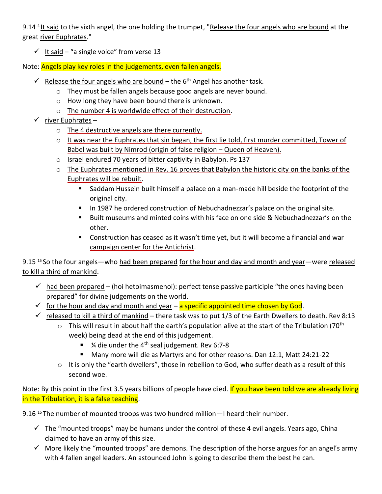9.14<sup>4</sup> It said to the sixth angel, the one holding the trumpet, "Release the four angels who are bound at the great river Euphrates."

 $\checkmark$  It said – "a single voice" from verse 13

Note: Angels play key roles in the judgements, even fallen angels.

- $\checkmark$  Release the four angels who are bound the 6<sup>th</sup> Angel has another task.
	- o They must be fallen angels because good angels are never bound.
	- o How long they have been bound there is unknown.
	- o The number 4 is worldwide effect of their destruction.
- $\checkmark$  river Euphrates
	- o The 4 destructive angels are there currently.
	- o It was near the Euphrates that sin began, the first lie told, first murder committed, Tower of Babel was built by Nimrod (origin of false religion – Queen of Heaven).
	- o Israel endured 70 years of bitter captivity in Babylon. Ps 137
	- $\circ$  The Euphrates mentioned in Rev. 16 proves that Babylon the historic city on the banks of the Euphrates will be rebuilt.
		- Saddam Hussein built himself a palace on a man-made hill beside the footprint of the original city.
		- In 1987 he ordered construction of Nebuchadnezzar's palace on the original site.
		- Built museums and minted coins with his face on one side & Nebuchadnezzar's on the other.
		- Construction has ceased as it wasn't time yet, but it will become a financial and war campaign center for the Antichrist.

9.15<sup>15</sup> So the four angels—who had been prepared for the hour and day and month and year—were released to kill a third of mankind.

- $\checkmark$  had been prepared (hoi hetoimasmenoi): perfect tense passive participle "the ones having been prepared" for divine judgements on the world.
- $\checkmark$  for the hour and day and month and year a specific appointed time chosen by God.
- $\checkmark$  released to kill a third of mankind there task was to put 1/3 of the Earth Dwellers to death. Rev 8:13
	- $\circ$  This will result in about half the earth's population alive at the start of the Tribulation (70<sup>th</sup>) week) being dead at the end of this judgement.
		- ¼ die under the 4<sup>th</sup> seal judgement. Rev 6:7-8
		- Many more will die as Martyrs and for other reasons. Dan 12:1, Matt 24:21-22
	- $\circ$  It is only the "earth dwellers", those in rebellion to God, who suffer death as a result of this second woe.

Note: By this point in the first 3.5 years billions of people have died. If you have been told we are already living in the Tribulation, it is a false teaching.

9.16<sup>16</sup> The number of mounted troops was two hundred million—I heard their number.

- $\checkmark$  The "mounted troops" may be humans under the control of these 4 evil angels. Years ago, China claimed to have an army of this size.
- $\checkmark$  More likely the "mounted troops" are demons. The description of the horse argues for an angel's army with 4 fallen angel leaders. An astounded John is going to describe them the best he can.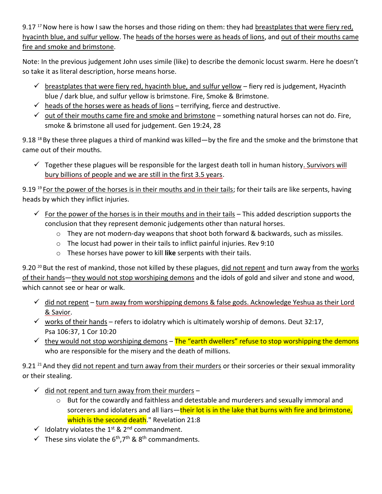9.17<sup>17</sup> Now here is how I saw the horses and those riding on them: they had breastplates that were fiery red, hyacinth blue, and sulfur yellow. The heads of the horses were as heads of lions, and out of their mouths came fire and smoke and brimstone.

Note: In the previous judgement John uses simile (like) to describe the demonic locust swarm. Here he doesn't so take it as literal description, horse means horse.

- $\checkmark$  breastplates that were fiery red, hyacinth blue, and sulfur yellow fiery red is judgement, Hyacinth blue / dark blue, and sulfur yellow is brimstone. Fire, Smoke & Brimstone.
- $\checkmark$  heads of the horses were as heads of lions terrifying, fierce and destructive.
- $\checkmark$  out of their mouths came fire and smoke and brimstone something natural horses can not do. Fire, smoke & brimstone all used for judgement. Gen 19:24, 28

9.18<sup>18</sup> By these three plagues a third of mankind was killed—by the fire and the smoke and the brimstone that came out of their mouths.

 $\checkmark$  Together these plagues will be responsible for the largest death toll in human history. Survivors will bury billions of people and we are still in the first 3.5 years.

9.19<sup>19</sup> For the power of the horses is in their mouths and in their tails; for their tails are like serpents, having heads by which they inflict injuries.

- $\checkmark$  For the power of the horses is in their mouths and in their tails This added description supports the conclusion that they represent demonic judgements other than natural horses.
	- o They are not modern-day weapons that shoot both forward & backwards, such as missiles.
	- o The locust had power in their tails to inflict painful injuries. Rev 9:10
	- o These horses have power to kill **like** serpents with their tails.

9.20<sup>20</sup> But the rest of mankind, those not killed by these plagues, did not repent and turn away from the works of their hands—they would not stop worshiping demons and the idols of gold and silver and stone and wood, which cannot see or hear or walk.

- $\checkmark$  did not repent turn away from worshipping demons & false gods. Acknowledge Yeshua as their Lord & Savior.
- $\checkmark$  works of their hands refers to idolatry which is ultimately worship of demons. Deut 32:17, Psa 106:37, 1 Cor 10:20
- $\checkmark$  they would not stop worshiping demons The "earth dwellers" refuse to stop worshipping the demons who are responsible for the misery and the death of millions.

9.21<sup>21</sup> And they did not repent and turn away from their murders or their sorceries or their sexual immorality or their stealing.

- $\checkmark$  did not repent and turn away from their murders
	- o But for the cowardly and faithless and detestable and murderers and sexually immoral and sorcerers and idolaters and all liars—their lot is in the lake that burns with fire and brimstone, which is the second death." Revelation 21:8
- $\checkmark$  Idolatry violates the 1<sup>st</sup> & 2<sup>nd</sup> commandment.
- $\checkmark$  These sins violate the 6<sup>th</sup>, 7<sup>th</sup> & 8<sup>th</sup> commandments.